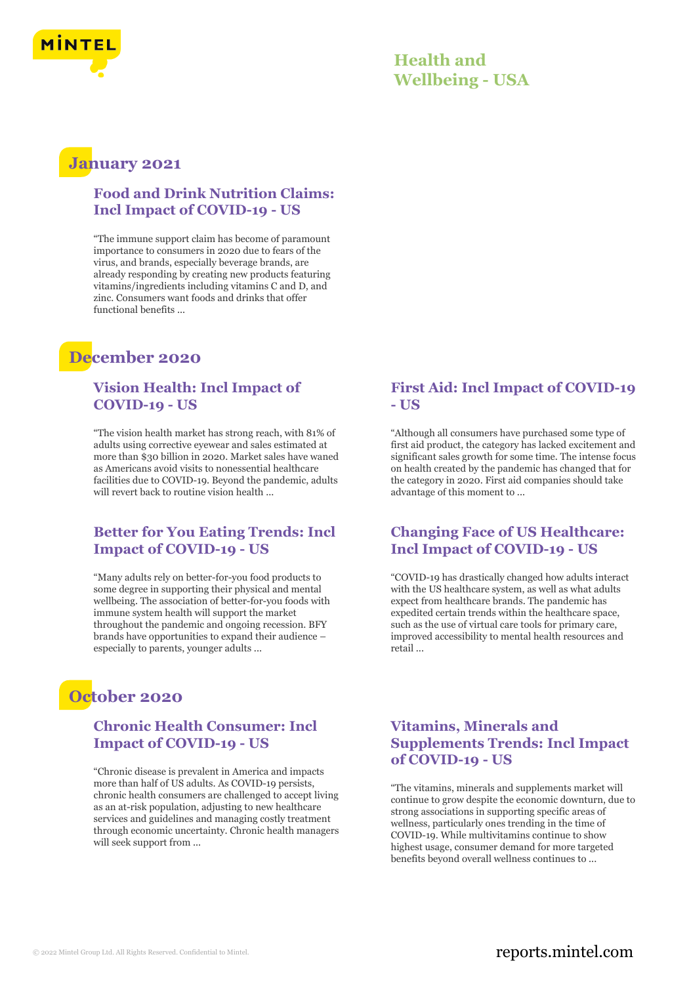

# **January 2021**

#### **Food and Drink Nutrition Claims: Incl Impact of COVID-19 - US**

"The immune support claim has become of paramount importance to consumers in 2020 due to fears of the virus, and brands, especially beverage brands, are already responding by creating new products featuring vitamins/ingredients including vitamins C and D, and zinc. Consumers want foods and drinks that offer functional benefits ...

# **December 2020**

### **Vision Health: Incl Impact of COVID-19 - US**

"The vision health market has strong reach, with 81% of adults using corrective eyewear and sales estimated at more than \$30 billion in 2020. Market sales have waned as Americans avoid visits to nonessential healthcare facilities due to COVID-19. Beyond the pandemic, adults will revert back to routine vision health ...

### **Better for You Eating Trends: Incl Impact of COVID-19 - US**

"Many adults rely on better-for-you food products to some degree in supporting their physical and mental wellbeing. The association of better-for-you foods with immune system health will support the market throughout the pandemic and ongoing recession. BFY brands have opportunities to expand their audience – especially to parents, younger adults ...

# **October 2020**

#### **Chronic Health Consumer: Incl Impact of COVID-19 - US**

"Chronic disease is prevalent in America and impacts more than half of US adults. As COVID-19 persists, chronic health consumers are challenged to accept living as an at-risk population, adjusting to new healthcare services and guidelines and managing costly treatment through economic uncertainty. Chronic health managers will seek support from ...

### **First Aid: Incl Impact of COVID-19 - US**

"Although all consumers have purchased some type of first aid product, the category has lacked excitement and significant sales growth for some time. The intense focus on health created by the pandemic has changed that for the category in 2020. First aid companies should take advantage of this moment to ...

### **Changing Face of US Healthcare: Incl Impact of COVID-19 - US**

"COVID-19 has drastically changed how adults interact with the US healthcare system, as well as what adults expect from healthcare brands. The pandemic has expedited certain trends within the healthcare space, such as the use of virtual care tools for primary care, improved accessibility to mental health resources and retail ...

## **Vitamins, Minerals and Supplements Trends: Incl Impact of COVID-19 - US**

"The vitamins, minerals and supplements market will continue to grow despite the economic downturn, due to strong associations in supporting specific areas of wellness, particularly ones trending in the time of COVID-19. While multivitamins continue to show highest usage, consumer demand for more targeted benefits beyond overall wellness continues to ...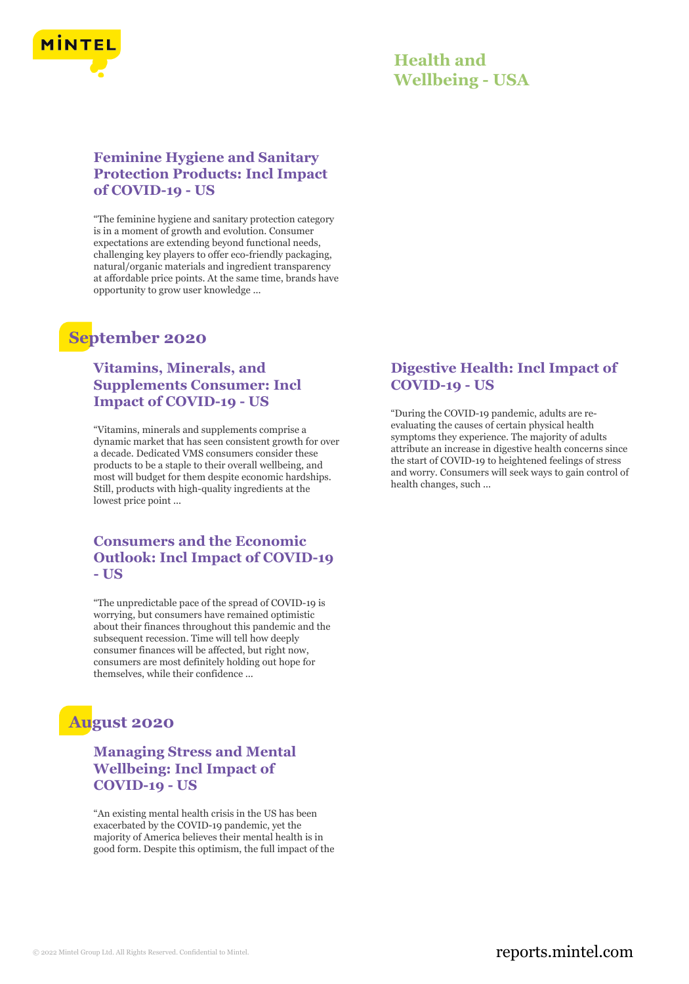

### **Feminine Hygiene and Sanitary Protection Products: Incl Impact of COVID-19 - US**

"The feminine hygiene and sanitary protection category is in a moment of growth and evolution. Consumer expectations are extending beyond functional needs, challenging key players to offer eco-friendly packaging, natural/organic materials and ingredient transparency at affordable price points. At the same time, brands have opportunity to grow user knowledge ...

# **September 2020**

## **Vitamins, Minerals, and Supplements Consumer: Incl Impact of COVID-19 - US**

"Vitamins, minerals and supplements comprise a dynamic market that has seen consistent growth for over a decade. Dedicated VMS consumers consider these products to be a staple to their overall wellbeing, and most will budget for them despite economic hardships. Still, products with high-quality ingredients at the lowest price point ...

#### **Consumers and the Economic Outlook: Incl Impact of COVID-19 - US**

"The unpredictable pace of the spread of COVID-19 is worrying, but consumers have remained optimistic about their finances throughout this pandemic and the subsequent recession. Time will tell how deeply consumer finances will be affected, but right now, consumers are most definitely holding out hope for themselves, while their confidence ...

# **August 2020**

## **Managing Stress and Mental Wellbeing: Incl Impact of COVID-19 - US**

"An existing mental health crisis in the US has been exacerbated by the COVID-19 pandemic, yet the majority of America believes their mental health is in good form. Despite this optimism, the full impact of the

## **Digestive Health: Incl Impact of COVID-19 - US**

"During the COVID-19 pandemic, adults are reevaluating the causes of certain physical health symptoms they experience. The majority of adults attribute an increase in digestive health concerns since the start of COVID-19 to heightened feelings of stress and worry. Consumers will seek ways to gain control of health changes, such ...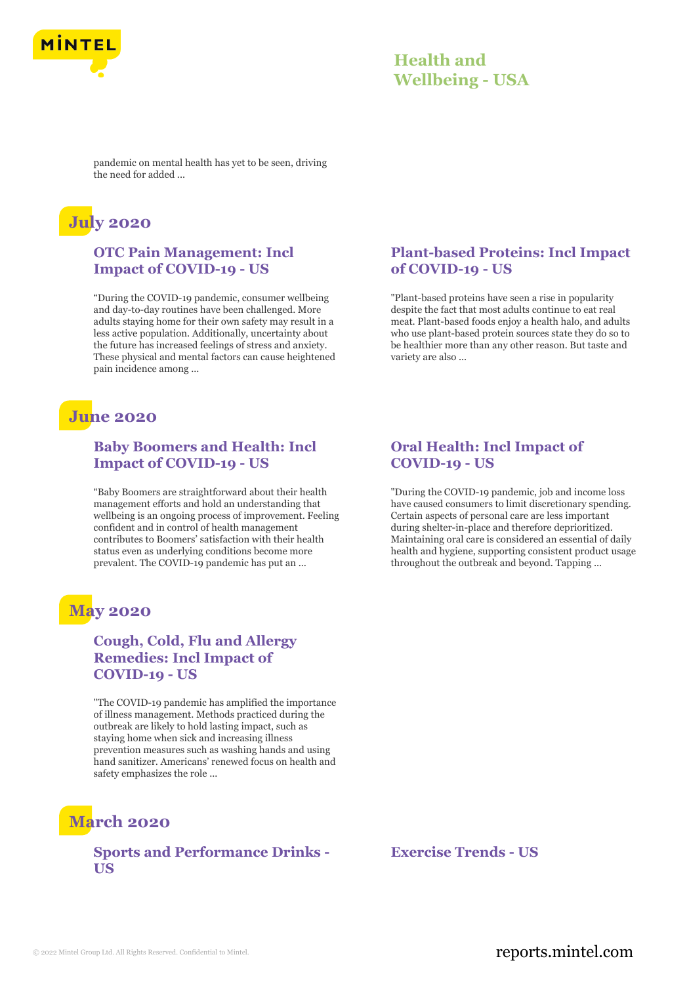

pandemic on mental health has yet to be seen, driving the need for added ...

# **July 2020**

#### **OTC Pain Management: Incl Impact of COVID-19 - US**

"During the COVID-19 pandemic, consumer wellbeing and day-to-day routines have been challenged. More adults staying home for their own safety may result in a less active population. Additionally, uncertainty about the future has increased feelings of stress and anxiety. These physical and mental factors can cause heightened pain incidence among ...

# **June 2020**

### **Baby Boomers and Health: Incl Impact of COVID-19 - US**

"Baby Boomers are straightforward about their health management efforts and hold an understanding that wellbeing is an ongoing process of improvement. Feeling confident and in control of health management contributes to Boomers' satisfaction with their health status even as underlying conditions become more prevalent. The COVID-19 pandemic has put an ...

# **May 2020**

## **Cough, Cold, Flu and Allergy Remedies: Incl Impact of COVID-19 - US**

"The COVID-19 pandemic has amplified the importance of illness management. Methods practiced during the outbreak are likely to hold lasting impact, such as staying home when sick and increasing illness prevention measures such as washing hands and using hand sanitizer. Americans' renewed focus on health and safety emphasizes the role ...

# **March 2020**

## **Sports and Performance Drinks - US**

### **Plant-based Proteins: Incl Impact of COVID-19 - US**

"Plant-based proteins have seen a rise in popularity despite the fact that most adults continue to eat real meat. Plant-based foods enjoy a health halo, and adults who use plant-based protein sources state they do so to be healthier more than any other reason. But taste and variety are also ...

### **Oral Health: Incl Impact of COVID-19 - US**

"During the COVID-19 pandemic, job and income loss have caused consumers to limit discretionary spending. Certain aspects of personal care are less important during shelter-in-place and therefore deprioritized. Maintaining oral care is considered an essential of daily health and hygiene, supporting consistent product usage throughout the outbreak and beyond. Tapping ...

**Exercise Trends - US**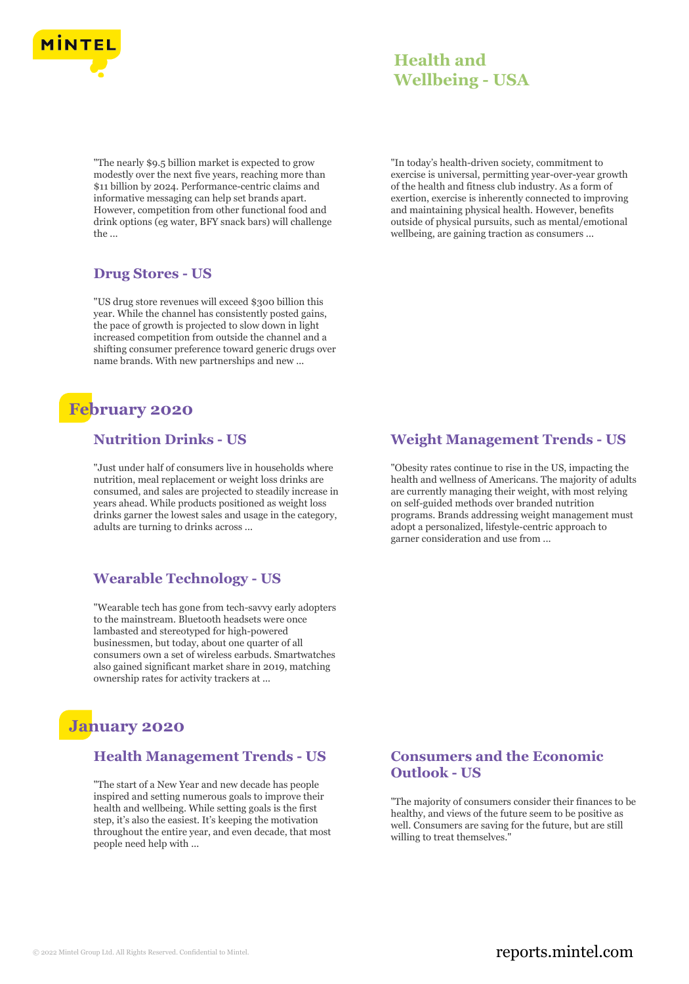

"The nearly \$9.5 billion market is expected to grow modestly over the next five years, reaching more than \$11 billion by 2024. Performance-centric claims and informative messaging can help set brands apart. However, competition from other functional food and drink options (eg water, BFY snack bars) will challenge the ...

#### **Drug Stores - US**

"US drug store revenues will exceed \$300 billion this year. While the channel has consistently posted gains, the pace of growth is projected to slow down in light increased competition from outside the channel and a shifting consumer preference toward generic drugs over name brands. With new partnerships and new ...

# **February 2020**

## **Nutrition Drinks - US**

"Just under half of consumers live in households where nutrition, meal replacement or weight loss drinks are consumed, and sales are projected to steadily increase in years ahead. While products positioned as weight loss drinks garner the lowest sales and usage in the category, adults are turning to drinks across ...

## **Wearable Technology - US**

"Wearable tech has gone from tech-savvy early adopters to the mainstream. Bluetooth headsets were once lambasted and stereotyped for high-powered businessmen, but today, about one quarter of all consumers own a set of wireless earbuds. Smartwatches also gained significant market share in 2019, matching ownership rates for activity trackers at ...

# **January 2020**

#### **Health Management Trends - US**

"The start of a New Year and new decade has people inspired and setting numerous goals to improve their health and wellbeing. While setting goals is the first step, it's also the easiest. It's keeping the motivation throughout the entire year, and even decade, that most people need help with ...

"In today's health-driven society, commitment to exercise is universal, permitting year-over-year growth of the health and fitness club industry. As a form of exertion, exercise is inherently connected to improving and maintaining physical health. However, benefits outside of physical pursuits, such as mental/emotional wellbeing, are gaining traction as consumers ...

### **Weight Management Trends - US**

"Obesity rates continue to rise in the US, impacting the health and wellness of Americans. The majority of adults are currently managing their weight, with most relying on self-guided methods over branded nutrition programs. Brands addressing weight management must adopt a personalized, lifestyle-centric approach to garner consideration and use from ...

## **Consumers and the Economic Outlook - US**

"The majority of consumers consider their finances to be healthy, and views of the future seem to be positive as well. Consumers are saving for the future, but are still willing to treat themselves."